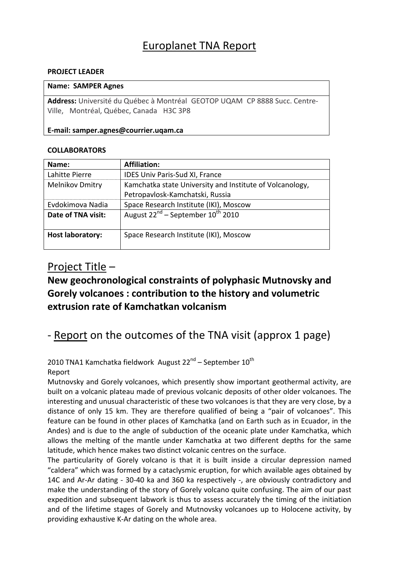## Europlanet TNA Report

### **PROJECT LEADER**

### **Name: SAMPER Agnes**

Address: Université du Québec à Montréal GEOTOP UQAM CP 8888 Succ. Centre-Ville, Montréal, Québec, Canada H3C 3P8

### **E‐mail: samper.agnes@courrier.uqam.ca**

### **COLLABORATORS**

| Name:                   | <b>Affiliation:</b>                                      |
|-------------------------|----------------------------------------------------------|
| Lahitte Pierre          | IDES Univ Paris-Sud XI, France                           |
| <b>Melnikov Dmitry</b>  | Kamchatka state University and Institute of Volcanology, |
|                         | Petropavlosk-Kamchatski, Russia                          |
| Evdokimova Nadia        | Space Research Institute (IKI), Moscow                   |
| Date of TNA visit:      | August $22^{nd}$ – September $10^{th}$ 2010              |
|                         |                                                          |
| <b>Host laboratory:</b> | Space Research Institute (IKI), Moscow                   |
|                         |                                                          |

### Project Title –

## **New geochronological constraints of polyphasic Mutnovsky and Gorely volcanoes : contribution to the history and volumetric extrusion rate of Kamchatkan volcanism**

## ‐ Report on the outcomes of the TNA visit (approx 1 page)

2010 TNA1 Kamchatka fieldwork August  $22^{nd}$  – September  $10^{th}$ 

### Report

Mutnovsky and Gorely volcanoes, which presently show important geothermal activity, are built on a volcanic plateau made of previous volcanic deposits of other older volcanoes. The interesting and unusual characteristic of these two volcanoes is that they are very close, by a distance of only 15 km. They are therefore qualified of being a "pair of volcanoes". This feature can be found in other places of Kamchatka (and on Earth such as in Ecuador, in the Andes) and is due to the angle of subduction of the oceanic plate under Kamchatka, which allows the melting of the mantle under Kamchatka at two different depths for the same latitude, which hence makes two distinct volcanic centres on the surface.

The particularity of Gorely volcano is that it is built inside a circular depression named "caldera" which was formed by a cataclysmic eruption, for which available ages obtained by 14C and Ar-Ar dating - 30-40 ka and 360 ka respectively -, are obviously contradictory and make the understanding of the story of Gorely volcano quite confusing. The aim of our past expedition and subsequent labwork is thus to assess accurately the timing of the initiation and of the lifetime stages of Gorely and Mutnovsky volcanoes up to Holocene activity, by providing exhaustive K‐Ar dating on the whole area.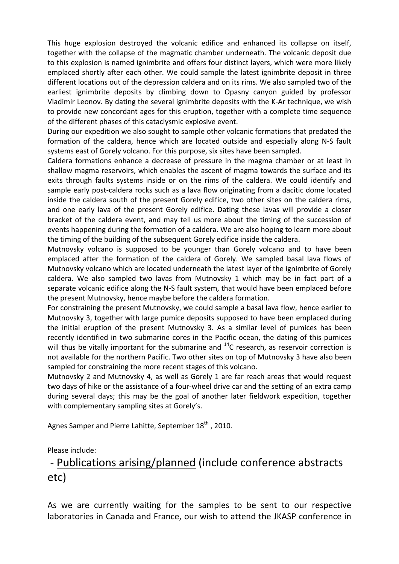This huge explosion destroyed the volcanic edifice and enhanced its collapse on itself, together with the collapse of the magmatic chamber underneath. The volcanic deposit due to this explosion is named ignimbrite and offers four distinct layers, which were more likely emplaced shortly after each other. We could sample the latest ignimbrite deposit in three different locations out of the depression caldera and on its rims. We also sampled two of the earliest ignimbrite deposits by climbing down to Opasny canyon guided by professor Vladimir Leonov. By dating the several ignimbrite deposits with the K‐Ar technique, we wish to provide new concordant ages for this eruption, together with a complete time sequence of the different phases of this cataclysmic explosive event.

During our expedition we also sought to sample other volcanic formations that predated the formation of the caldera, hence which are located outside and especially along N‐S fault systems east of Gorely volcano. For this purpose, six sites have been sampled.

Caldera formations enhance a decrease of pressure in the magma chamber or at least in shallow magma reservoirs, which enables the ascent of magma towards the surface and its exits through faults systems inside or on the rims of the caldera. We could identify and sample early post-caldera rocks such as a lava flow originating from a dacitic dome located inside the caldera south of the present Gorely edifice, two other sites on the caldera rims, and one early lava of the present Gorely edifice. Dating these lavas will provide a closer bracket of the caldera event, and may tell us more about the timing of the succession of events happening during the formation of a caldera. We are also hoping to learn more about the timing of the building of the subsequent Gorely edifice inside the caldera.

Mutnovsky volcano is supposed to be younger than Gorely volcano and to have been emplaced after the formation of the caldera of Gorely. We sampled basal lava flows of Mutnovsky volcano which are located underneath the latest layer of the ignimbrite of Gorely caldera. We also sampled two lavas from Mutnovsky 1 which may be in fact part of a separate volcanic edifice along the N-S fault system, that would have been emplaced before the present Mutnovsky, hence maybe before the caldera formation.

For constraining the present Mutnovsky, we could sample a basal lava flow, hence earlier to Mutnovsky 3, together with large pumice deposits supposed to have been emplaced during the initial eruption of the present Mutnovsky 3. As a similar level of pumices has been recently identified in two submarine cores in the Pacific ocean, the dating of this pumices will thus be vitally important for the submarine and  $^{14}$ C research, as reservoir correction is not available for the northern Pacific. Two other sites on top of Mutnovsky 3 have also been sampled for constraining the more recent stages of this volcano.

Mutnovsky 2 and Mutnovsky 4, as well as Gorely 1 are far reach areas that would request two days of hike or the assistance of a four‐wheel drive car and the setting of an extra camp during several days; this may be the goal of another later fieldwork expedition, together with complementary sampling sites at Gorely's.

Agnes Samper and Pierre Lahitte, September 18<sup>th</sup>, 2010.

Please include:

# ‐ Publications arising/planned (include conference abstracts etc)

As we are currently waiting for the samples to be sent to our respective laboratories in Canada and France, our wish to attend the JKASP conference in